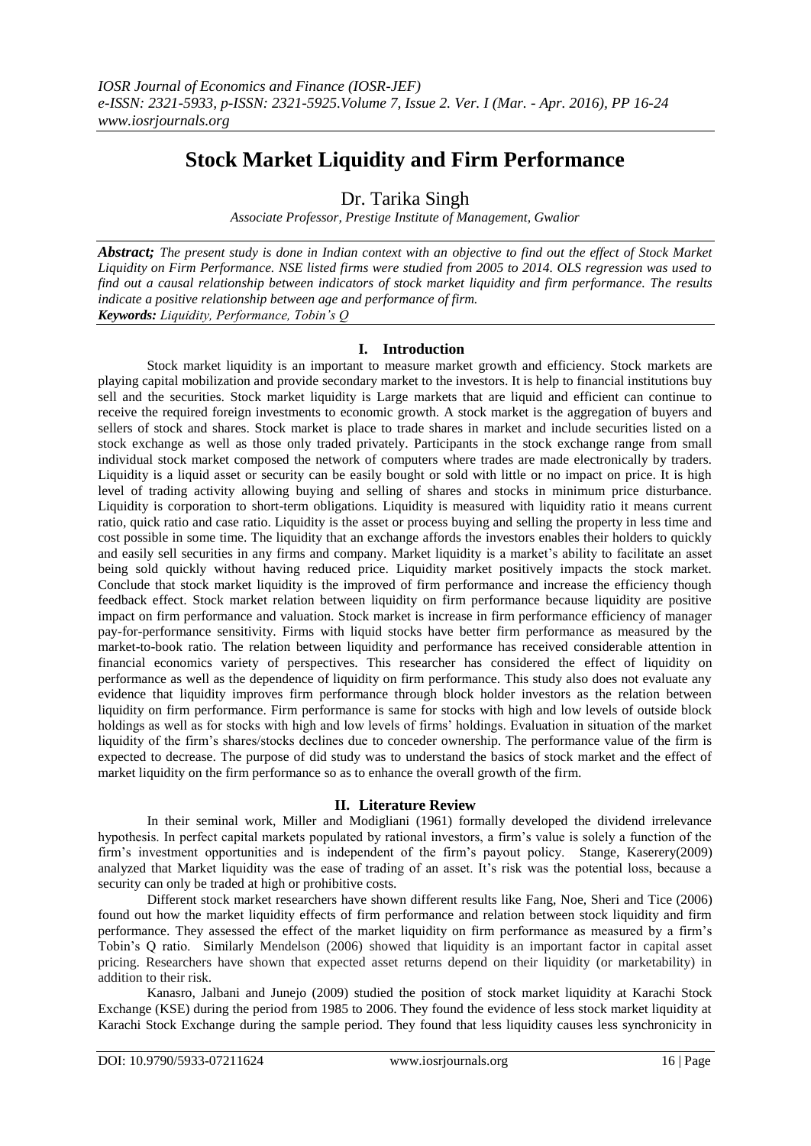# **Stock Market Liquidity and Firm Performance**

Dr. Tarika Singh

*Associate Professor, Prestige Institute of Management, Gwalior*

*Abstract; The present study is done in Indian context with an objective to find out the effect of Stock Market Liquidity on Firm Performance. NSE listed firms were studied from 2005 to 2014. OLS regression was used to find out a causal relationship between indicators of stock market liquidity and firm performance. The results indicate a positive relationship between age and performance of firm. Keywords: Liquidity, Performance, Tobin's Q*

# **I. Introduction**

Stock market liquidity is an important to measure market growth and efficiency. Stock markets are playing capital mobilization and provide secondary market to the investors. It is help to financial institutions buy sell and the securities. Stock market liquidity is Large markets that are liquid and efficient can continue to receive the required foreign investments to economic growth. A stock market is the aggregation of buyers and sellers of stock and shares. Stock market is place to trade shares in market and include securities listed on a stock exchange as well as those only traded privately. Participants in the stock exchange range from small individual stock market composed the network of computers where trades are made electronically by traders. Liquidity is a liquid asset or security can be easily bought or sold with little or no impact on price. It is high level of trading activity allowing buying and selling of shares and stocks in minimum price disturbance. Liquidity is corporation to short-term obligations. Liquidity is measured with liquidity ratio it means current ratio, quick ratio and case ratio. Liquidity is the asset or process buying and selling the property in less time and cost possible in some time. The liquidity that an exchange affords the investors enables their holders to quickly and easily sell securities in any firms and company. Market liquidity is a market's ability to facilitate an asset being sold quickly without having reduced price. Liquidity market positively impacts the stock market. Conclude that stock market liquidity is the improved of firm performance and increase the efficiency though feedback effect. Stock market relation between liquidity on firm performance because liquidity are positive impact on firm performance and valuation. Stock market is increase in firm performance efficiency of manager pay-for-performance sensitivity. Firms with liquid stocks have better firm performance as measured by the market-to-book ratio. The relation between liquidity and performance has received considerable attention in financial economics variety of perspectives. This researcher has considered the effect of liquidity on performance as well as the dependence of liquidity on firm performance. This study also does not evaluate any evidence that liquidity improves firm performance through block holder investors as the relation between liquidity on firm performance. Firm performance is same for stocks with high and low levels of outside block holdings as well as for stocks with high and low levels of firms' holdings. Evaluation in situation of the market liquidity of the firm's shares/stocks declines due to conceder ownership. The performance value of the firm is expected to decrease. The purpose of did study was to understand the basics of stock market and the effect of market liquidity on the firm performance so as to enhance the overall growth of the firm.

# **II. Literature Review**

In their seminal work, Miller and Modigliani (1961) formally developed the dividend irrelevance hypothesis. In perfect capital markets populated by rational investors, a firm's value is solely a function of the firm's investment opportunities and is independent of the firm's payout policy. Stange, Kaserery(2009) analyzed that Market liquidity was the ease of trading of an asset. It's risk was the potential loss, because a security can only be traded at high or prohibitive costs.

Different stock market researchers have shown different results like Fang, Noe, Sheri and Tice (2006) found out how the market liquidity effects of firm performance and relation between stock liquidity and firm performance. They assessed the effect of the market liquidity on firm performance as measured by a firm's Tobin's Q ratio. Similarly Mendelson (2006) showed that liquidity is an important factor in capital asset pricing. Researchers have shown that expected asset returns depend on their liquidity (or marketability) in addition to their risk.

Kanasro, Jalbani and Junejo (2009) studied the position of stock market liquidity at Karachi Stock Exchange (KSE) during the period from 1985 to 2006. They found the evidence of less stock market liquidity at Karachi Stock Exchange during the sample period. They found that less liquidity causes less synchronicity in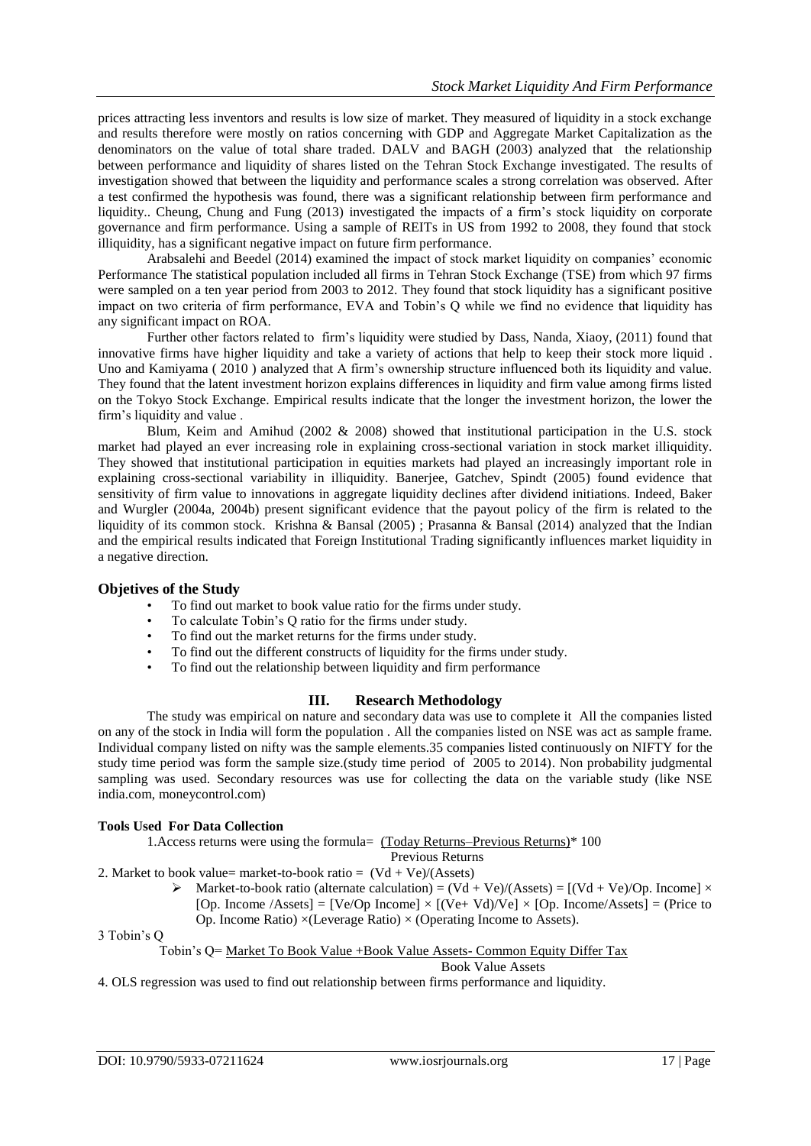prices attracting less inventors and results is low size of market. They measured of liquidity in a stock exchange and results therefore were mostly on ratios concerning with GDP and Aggregate Market Capitalization as the denominators on the value of total share traded. DALV and BAGH (2003) analyzed that the relationship between performance and liquidity of shares listed on the Tehran Stock Exchange investigated. The results of investigation showed that between the liquidity and performance scales a strong correlation was observed. After a test confirmed the hypothesis was found, there was a significant relationship between firm performance and liquidity.. Cheung, Chung and Fung (2013) investigated the impacts of a firm's stock liquidity on corporate governance and firm performance. Using a sample of REITs in US from 1992 to 2008, they found that stock illiquidity, has a significant negative impact on future firm performance.

Arabsalehi and Beedel (2014) examined the impact of stock market liquidity on companies' economic Performance The statistical population included all firms in Tehran Stock Exchange (TSE) from which 97 firms were sampled on a ten year period from 2003 to 2012. They found that stock liquidity has a significant positive impact on two criteria of firm performance, EVA and Tobin's Q while we find no evidence that liquidity has any significant impact on ROA.

Further other factors related to firm's liquidity were studied by Dass, Nanda, Xiaoy, (2011) found that innovative firms have higher liquidity and take a variety of actions that help to keep their stock more liquid . Uno and Kamiyama ( 2010 ) analyzed that A firm's ownership structure influenced both its liquidity and value. They found that the latent investment horizon explains differences in liquidity and firm value among firms listed on the Tokyo Stock Exchange. Empirical results indicate that the longer the investment horizon, the lower the firm's liquidity and value .

Blum, Keim and Amihud (2002 & 2008) showed that institutional participation in the U.S. stock market had played an ever increasing role in explaining cross-sectional variation in stock market illiquidity. They showed that institutional participation in equities markets had played an increasingly important role in explaining cross-sectional variability in illiquidity. Banerjee, Gatchev, Spindt (2005) found evidence that sensitivity of firm value to innovations in aggregate liquidity declines after dividend initiations. Indeed, Baker and Wurgler (2004a, 2004b) present significant evidence that the payout policy of the firm is related to the liquidity of its common stock. Krishna & Bansal (2005) ; Prasanna & Bansal (2014) analyzed that the Indian and the empirical results indicated that Foreign Institutional Trading significantly influences market liquidity in a negative direction.

# **Objetives of the Study**

- To find out market to book value ratio for the firms under study.
- To calculate Tobin's Q ratio for the firms under study.
- To find out the market returns for the firms under study.
- To find out the different constructs of liquidity for the firms under study.
- To find out the relationship between liquidity and firm performance

# **III. Research Methodology**

The study was empirical on nature and secondary data was use to complete it All the companies listed on any of the stock in India will form the population . All the companies listed on NSE was act as sample frame. Individual company listed on nifty was the sample elements.35 companies listed continuously on NIFTY for the study time period was form the sample size.(study time period of 2005 to 2014). Non probability judgmental sampling was used. Secondary resources was use for collecting the data on the variable study (like NSE india.com, moneycontrol.com)

# **Tools Used For Data Collection**

1.Access returns were using the formula= (Today Returns–Previous Returns)\* 100

- Previous Returns
- 2. Market to book value= market-to-book ratio =  $(Vd + Ve)/(Assets)$ 
	- $\triangleright$  Market-to-book ratio (alternate calculation) = (Vd + Ve)/(Assets) = [(Vd + Ve)/Op. Income]  $\times$ [Op. Income /Assets] =  $[Ve/Op$  Income]  $\times$   $[(Ve+Vd)/Ve] \times [Op$ . Income/Assets] = (Price to Op. Income Ratio)  $\times$ (Leverage Ratio)  $\times$  (Operating Income to Assets).

```
3 Tobin's Q
```
Tobin's Q= Market To Book Value +Book Value Assets- Common Equity Differ Tax

#### Book Value Assets

4. OLS regression was used to find out relationship between firms performance and liquidity.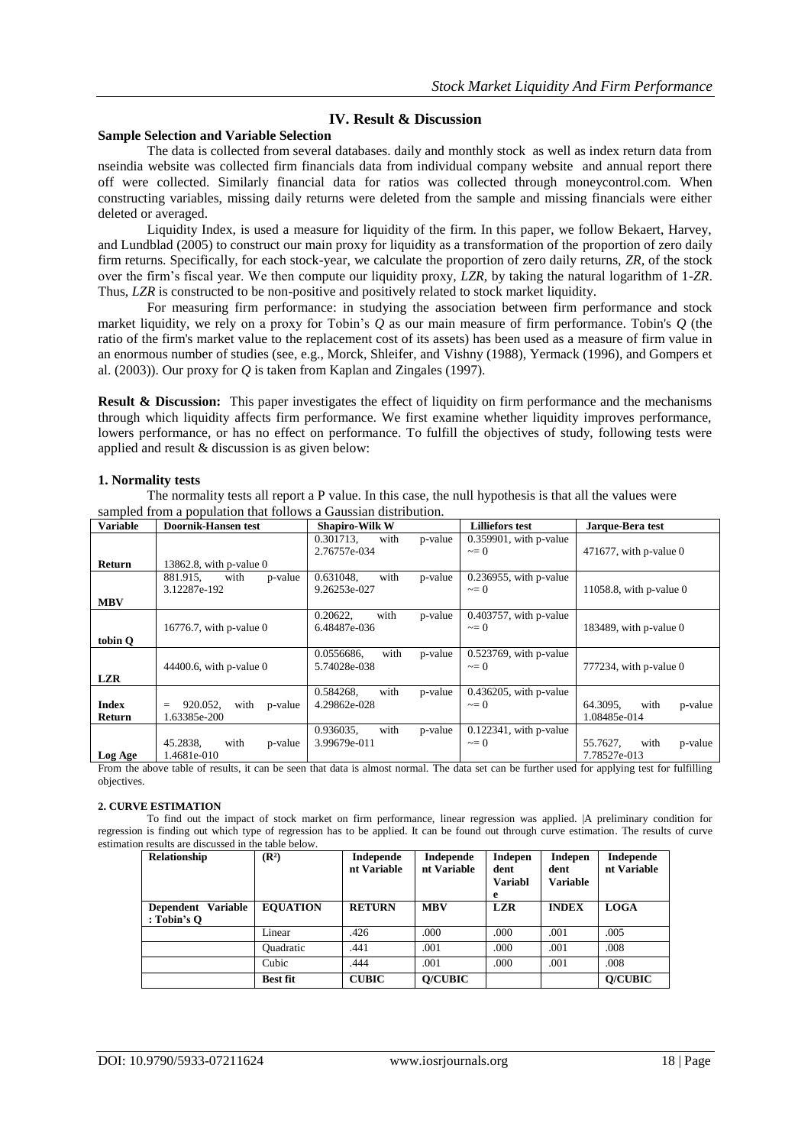# **IV. Result & Discussion**

## **Sample Selection and Variable Selection**

The data is collected from several databases. daily and monthly stock as well as index return data from nseindia website was collected firm financials data from individual company website and annual report there off were collected. Similarly financial data for ratios was collected through moneycontrol.com. When constructing variables, missing daily returns were deleted from the sample and missing financials were either deleted or averaged.

Liquidity Index, is used a measure for liquidity of the firm. In this paper, we follow Bekaert, Harvey, and Lundblad (2005) to construct our main proxy for liquidity as a transformation of the proportion of zero daily firm returns. Specifically, for each stock-year, we calculate the proportion of zero daily returns, *ZR*, of the stock over the firm's fiscal year. We then compute our liquidity proxy, *LZR*, by taking the natural logarithm of 1-*ZR*. Thus, *LZR* is constructed to be non-positive and positively related to stock market liquidity.

For measuring firm performance: in studying the association between firm performance and stock market liquidity, we rely on a proxy for Tobin's *Q* as our main measure of firm performance. Tobin's *Q* (the ratio of the firm's market value to the replacement cost of its assets) has been used as a measure of firm value in an enormous number of studies (see, e.g., Morck, Shleifer, and Vishny (1988), Yermack (1996), and Gompers et al. (2003)). Our proxy for *Q* is taken from Kaplan and Zingales (1997).

**Result & Discussion:** This paper investigates the effect of liquidity on firm performance and the mechanisms through which liquidity affects firm performance. We first examine whether liquidity improves performance, lowers performance, or has no effect on performance. To fulfill the objectives of study, following tests were applied and result & discussion is as given below:

## **1. Normality tests**

The normality tests all report a P value. In this case, the null hypothesis is that all the values were sampled from a population that follows a Gaussian distribution.

| <b>Variable</b>        | <b>Doornik-Hansen test</b>                  | <b>Shapiro-Wilk W</b>                         | <b>Lilliefors test</b>                | Jarque-Bera test                            |
|------------------------|---------------------------------------------|-----------------------------------------------|---------------------------------------|---------------------------------------------|
|                        |                                             | with<br>0.301713.<br>p-value<br>2.76757e-034  | $0.359901$ , with p-value<br>$\sim=0$ | 471677, with p-value $0$                    |
| Return                 | 13862.8, with $p$ -value 0                  |                                               |                                       |                                             |
| <b>MBV</b>             | p-value<br>881.915,<br>with<br>3.12287e-192 | 0.631048.<br>with<br>p-value<br>9.26253e-027  | 0.236955, with p-value<br>$\sim=0$    | 11058.8, with p-value $0$                   |
| tobin O                | 16776.7, with p-value $0$                   | 0.20622.<br>with<br>p-value<br>6.48487e-036   | 0.403757, with p-value<br>$\sim=0$    | 183489, with p-value $0$                    |
| <b>LZR</b>             | $44400.6$ , with p-value 0                  | 0.0556686,<br>with<br>p-value<br>5.74028e-038 | 0.523769, with p-value<br>$\sim=0$    | $777234$ , with p-value 0                   |
| <b>Index</b><br>Return | 920.052,<br>with<br>p-value<br>1.63385e-200 | 0.584268.<br>with<br>p-value<br>4.29862e-028  | $0.436205$ , with p-value<br>$\sim=0$ | 64.3095.<br>with<br>p-value<br>1.08485e-014 |
| Log Age                | 45.2838,<br>with<br>p-value<br>1.4681e-010  | 0.936035,<br>with<br>p-value<br>3.99679e-011  | $0.122341$ , with p-value<br>$\sim=0$ | 55.7627,<br>with<br>p-value<br>7.78527e-013 |

From the above table of results, it can be seen that data is almost normal. The data set can be further used for applying test for fulfilling objectives.

## **2. CURVE ESTIMATION**

To find out the impact of stock market on firm performance, linear regression was applied. |A preliminary condition for regression is finding out which type of regression has to be applied. It can be found out through curve estimation. The results of curve estimation results are discussed in the table below.

| Relationship                                | $(\mathbb{R}^2)$ | Independe<br>nt Variable | Independe<br>nt Variable | Indepen<br>dent<br><b>Variabl</b><br>e | Indepen<br>dent<br><b>Variable</b> | Independe<br>nt Variable |
|---------------------------------------------|------------------|--------------------------|--------------------------|----------------------------------------|------------------------------------|--------------------------|
| Dependent Variable<br>$: \text{Tobin's } O$ | <b>EOUATION</b>  | <b>RETURN</b>            | <b>MBV</b>               | <b>LZR</b>                             | <b>INDEX</b>                       | <b>LOGA</b>              |
|                                             | Linear           | .426                     | .000                     | .000                                   | .001                               | .005                     |
|                                             | <b>Quadratic</b> | .441                     | .001                     | .000                                   | .001                               | .008                     |
|                                             | Cubic            | .444                     | .001                     | .000                                   | .001                               | .008                     |
|                                             | <b>Best fit</b>  | <b>CUBIC</b>             | <b>O/CUBIC</b>           |                                        |                                    | <b>O/CUBIC</b>           |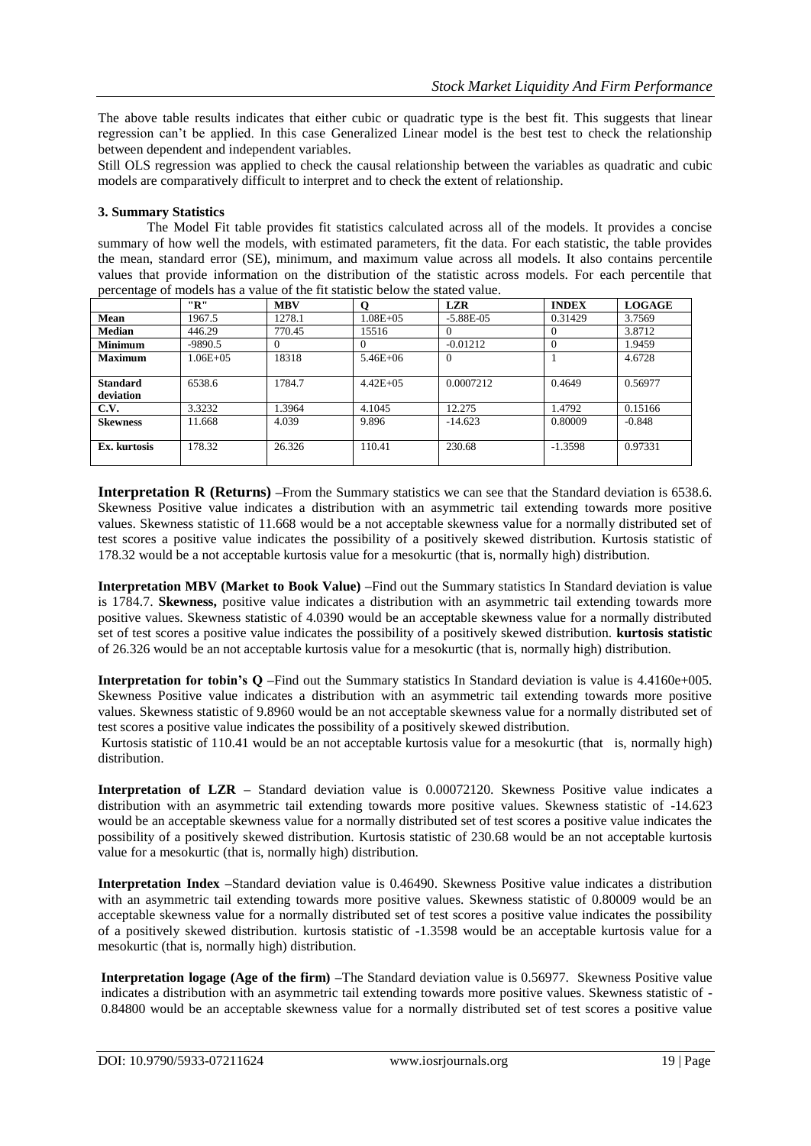The above table results indicates that either cubic or quadratic type is the best fit. This suggests that linear regression can't be applied. In this case Generalized Linear model is the best test to check the relationship between dependent and independent variables.

Still OLS regression was applied to check the causal relationship between the variables as quadratic and cubic models are comparatively difficult to interpret and to check the extent of relationship.

## **3. Summary Statistics**

The Model Fit table provides fit statistics calculated across all of the models. It provides a concise summary of how well the models, with estimated parameters, fit the data. For each statistic, the table provides the mean, standard error (SE), minimum, and maximum value across all models. It also contains percentile values that provide information on the distribution of the statistic across models. For each percentile that percentage of models has a value of the fit statistic below the stated value.

|                              | "R"           | <b>MBV</b> | O             | <b>LZR</b>    | <b>INDEX</b> | <b>LOGAGE</b> |
|------------------------------|---------------|------------|---------------|---------------|--------------|---------------|
| Mean                         | 1967.5        | 1278.1     | $1.08E + 0.5$ | $-5.88E - 05$ | 0.31429      | 3.7569        |
| <b>Median</b>                | 446.29        | 770.45     | 15516         |               |              | 3.8712        |
| <b>Minimum</b>               | $-9890.5$     | $^{(1)}$   | $^{(1)}$      | $-0.01212$    | $\Omega$     | 1.9459        |
| <b>Maximum</b>               | $1.06E + 0.5$ | 18318      | $5.46E + 06$  | $\Omega$      |              | 4.6728        |
|                              |               |            |               |               |              |               |
| <b>Standard</b><br>deviation | 6538.6        | 1784.7     | $4.42E + 0.5$ | 0.0007212     | 0.4649       | 0.56977       |
| C.V.                         | 3.3232        | 1.3964     | 4.1045        | 12.275        | 1.4792       | 0.15166       |
| <b>Skewness</b>              | 11.668        | 4.039      | 9.896         | $-14.623$     | 0.80009      | $-0.848$      |
| Ex. kurtosis                 | 178.32        | 26.326     | 110.41        | 230.68        | $-1.3598$    | 0.97331       |

**Interpretation <b>R** (Returns) –From the Summary statistics we can see that the Standard deviation is 6538.6. Skewness Positive value indicates a distribution with an asymmetric tail extending towards more positive values. Skewness statistic of 11.668 would be a not acceptable skewness value for a normally distributed set of test scores a positive value indicates the possibility of a positively skewed distribution. Kurtosis statistic of 178.32 would be a not acceptable kurtosis value for a mesokurtic (that is, normally high) distribution.

**Interpretation MBV (Market to Book Value) –**Find out the Summary statistics In Standard deviation is value is 1784.7. **Skewness,** positive value indicates a distribution with an asymmetric tail extending towards more positive values. Skewness statistic of 4.0390 would be an acceptable skewness value for a normally distributed set of test scores a positive value indicates the possibility of a positively skewed distribution. **kurtosis statistic** of 26.326 would be an not acceptable kurtosis value for a mesokurtic (that is, normally high) distribution.

**Interpretation for tobin's Q –**Find out the Summary statistics In Standard deviation is value is 4.4160e+005. Skewness Positive value indicates a distribution with an asymmetric tail extending towards more positive values. Skewness statistic of 9.8960 would be an not acceptable skewness value for a normally distributed set of test scores a positive value indicates the possibility of a positively skewed distribution.

Kurtosis statistic of 110.41 would be an not acceptable kurtosis value for a mesokurtic (that is, normally high) distribution.

**Interpretation of LZR –** Standard deviation value is 0.00072120. Skewness Positive value indicates a distribution with an asymmetric tail extending towards more positive values. Skewness statistic of -14.623 would be an acceptable skewness value for a normally distributed set of test scores a positive value indicates the possibility of a positively skewed distribution. Kurtosis statistic of 230.68 would be an not acceptable kurtosis value for a mesokurtic (that is, normally high) distribution.

**Interpretation Index –**Standard deviation value is 0.46490. Skewness Positive value indicates a distribution with an asymmetric tail extending towards more positive values. Skewness statistic of 0.80009 would be an acceptable skewness value for a normally distributed set of test scores a positive value indicates the possibility of a positively skewed distribution. kurtosis statistic of -1.3598 would be an acceptable kurtosis value for a mesokurtic (that is, normally high) distribution.

**Interpretation logage (Age of the firm) –**The Standard deviation value is 0.56977. Skewness Positive value indicates a distribution with an asymmetric tail extending towards more positive values. Skewness statistic of - 0.84800 would be an acceptable skewness value for a normally distributed set of test scores a positive value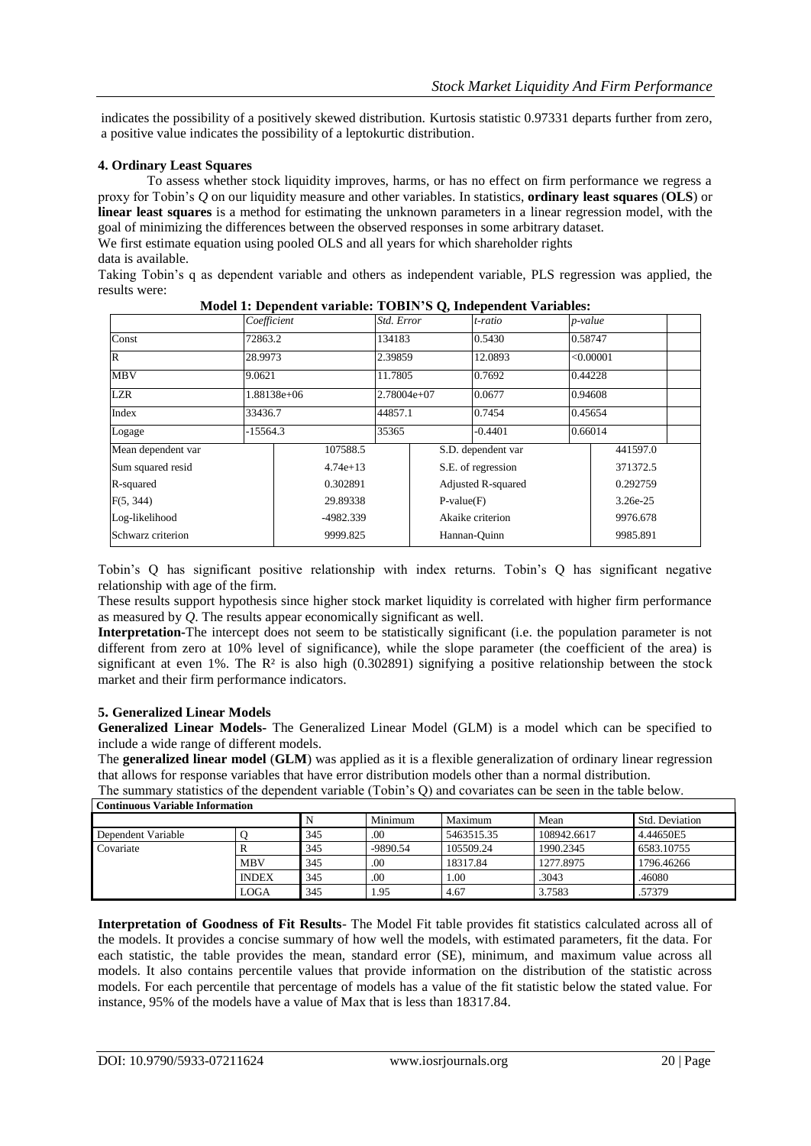indicates the possibility of a positively skewed distribution. Kurtosis statistic 0.97331 departs further from zero, a positive value indicates the possibility of a leptokurtic distribution.

#### **4. Ordinary Least Squares**

To assess whether stock liquidity improves, harms, or has no effect on firm performance we regress a proxy for Tobin's *Q* on our liquidity measure and other variables. In [statistics,](https://en.wikipedia.org/wiki/Statistics) **ordinary least squares** (**OLS**) or **linear least squares** is a method for estimating the unknown parameters in a [linear regression model,](https://en.wikipedia.org/wiki/Linear_regression_model) with the goal of minimizing the differences between the observed responses in some arbitrary dataset.

We first estimate equation using pooled OLS and all years for which shareholder rights data is available.

Taking Tobin's q as dependent variable and others as independent variable, PLS regression was applied, the results were:

|                       | Coefficient |            | Std. Error    |                           | t-ratio            | p-value  |           |  |
|-----------------------|-------------|------------|---------------|---------------------------|--------------------|----------|-----------|--|
| Const                 | 72863.2     |            | 134183        |                           | 0.5430             | 0.58747  |           |  |
| IR.                   | 28.9973     |            | 2.39859       |                           | 12.0893            |          | < 0.00001 |  |
| <b>MBV</b>            | 9.0621      |            | 11.7805       |                           | 0.7692             |          | 0.44228   |  |
| <b>LZR</b>            | 1.88138e+06 |            | $2.78004e+07$ |                           | 0.0677             |          | 0.94608   |  |
| Index                 | 33436.7     |            | 44857.1       |                           | 0.7454             | 0.45654  |           |  |
| Logage                | $-15564.3$  |            | 35365         |                           | $-0.4401$          | 0.66014  |           |  |
| Mean dependent var    |             | 107588.5   |               |                           | S.D. dependent var |          | 441597.0  |  |
| Sum squared resid     |             | $4.74e+13$ |               |                           | S.E. of regression |          | 371372.5  |  |
| R-squared             |             | 0.302891   |               | <b>Adjusted R-squared</b> |                    |          | 0.292759  |  |
| F(5, 344)<br>29.89338 |             |            |               | $P-value(F)$              |                    | 3.26e-25 |           |  |
| Log-likelihood        |             | -4982.339  |               |                           | Akaike criterion   |          | 9976.678  |  |
| Schwarz criterion     |             | 9999.825   |               |                           | Hannan-Ouinn       |          | 9985.891  |  |

| Model 1: Dependent variable: TOBIN'S Q, Independent Variables: |  |  |
|----------------------------------------------------------------|--|--|
|----------------------------------------------------------------|--|--|

Tobin's Q has significant positive relationship with index returns. Tobin's Q has significant negative relationship with age of the firm.

These results support hypothesis since higher stock market liquidity is correlated with higher firm performance as measured by *Q*. The results appear economically significant as well.

**Interpretation-**The intercept does not seem to be statistically significant (i.e. the population parameter is not different from zero at 10% level of significance), while the slope parameter (the coefficient of the area) is significant at even 1%. The  $\mathbb{R}^2$  is also high (0.302891) signifying a positive relationship between the stock market and their firm performance indicators.

#### **5. Generalized Linear Models**

**Generalized Linear Models-** The Generalized Linear Model (GLM) is a model which can be specified to include a wide range of different models.

The **generalized linear model** (**GLM**) was applied as it is a flexible generalization of ordinary [linear regression](https://en.wikipedia.org/wiki/Linear_regression) that allows for response variables that have error distribution models other than a [normal distribution.](https://en.wikipedia.org/wiki/Normal_distribution)

The summary statistics of the dependent variable (Tobin's Q) and covariates can be seen in the table below. **Continuous Variable Information**

| Социнцовь у агтаріститогичасцогі |              |     |            |            |             |                       |  |  |  |
|----------------------------------|--------------|-----|------------|------------|-------------|-----------------------|--|--|--|
|                                  |              |     | Minimum    | Maximum    | Mean        | <b>Std. Deviation</b> |  |  |  |
| Dependent Variable               |              | 345 | .00        | 5463515.35 | 108942.6617 | 4.44650E5             |  |  |  |
| Covariate                        |              | 345 | $-9890.54$ | 105509.24  | 1990.2345   | 6583.10755            |  |  |  |
|                                  | <b>MBV</b>   | 345 | .00.       | 18317.84   | 1277.8975   | 1796.46266            |  |  |  |
|                                  | <b>INDEX</b> | 345 | .00        | 1.00       | .3043       | .46080                |  |  |  |
|                                  | LOGA         | 345 | 1.95       | 4.67       | 3.7583      | .57379                |  |  |  |

**Interpretation of Goodness of Fit Results**- The Model Fit table provides fit statistics calculated across all of the models. It provides a concise summary of how well the models, with estimated parameters, fit the data. For each statistic, the table provides the mean, standard error (SE), minimum, and maximum value across all models. It also contains percentile values that provide information on the distribution of the statistic across models. For each percentile that percentage of models has a value of the fit statistic below the stated value. For instance, 95% of the models have a value of Max that is less than 18317.84.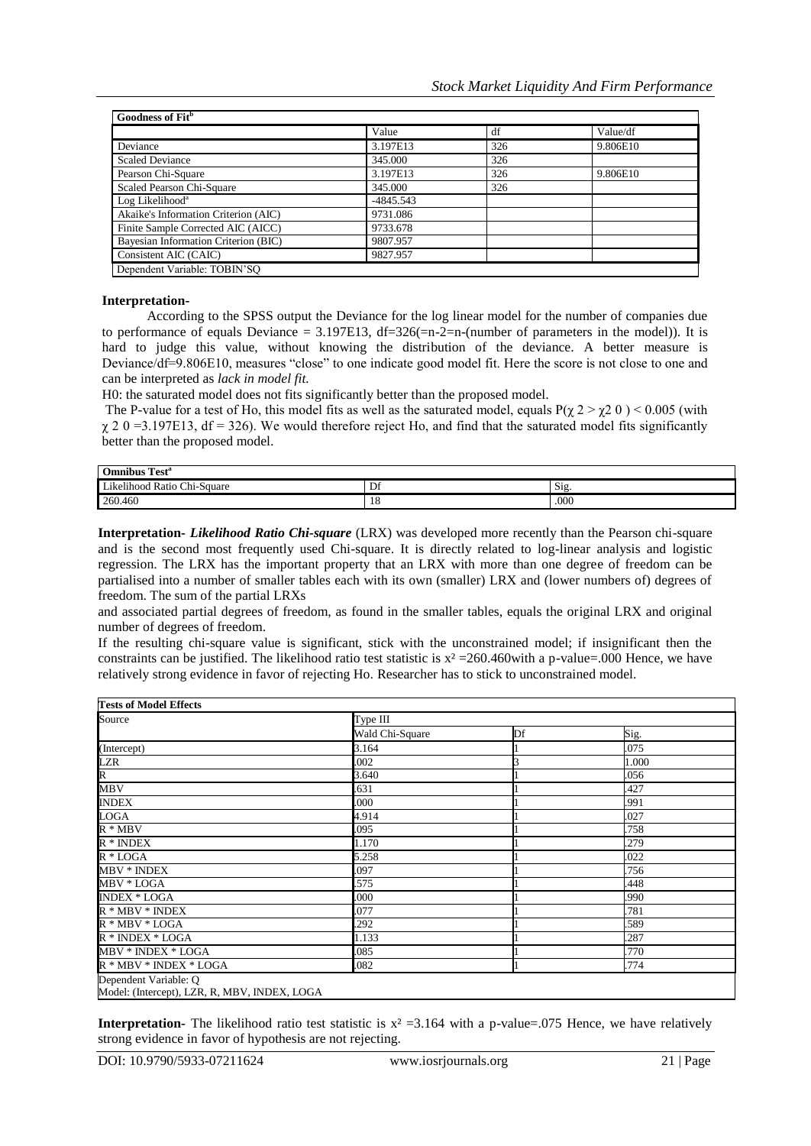| Goodness of Fit <sup>b</sup>         |             |     |          |  |  |  |
|--------------------------------------|-------------|-----|----------|--|--|--|
|                                      | Value       | df  | Value/df |  |  |  |
| Deviance                             | 3.197E13    | 326 | 9.806E10 |  |  |  |
| <b>Scaled Deviance</b>               | 345.000     | 326 |          |  |  |  |
| Pearson Chi-Square                   | 3.197E13    | 326 | 9.806E10 |  |  |  |
| Scaled Pearson Chi-Square            | 345.000     | 326 |          |  |  |  |
| Log Likelihood <sup>a</sup>          | $-4845.543$ |     |          |  |  |  |
| Akaike's Information Criterion (AIC) | 9731.086    |     |          |  |  |  |
| Finite Sample Corrected AIC (AICC)   | 9733.678    |     |          |  |  |  |
| Bayesian Information Criterion (BIC) | 9807.957    |     |          |  |  |  |
| Consistent AIC (CAIC)                | 9827.957    |     |          |  |  |  |
| Dependent Variable: TOBIN'SO         |             |     |          |  |  |  |

#### **Interpretation-**

According to the SPSS output the Deviance for the log linear model for the number of companies due to performance of equals Deviance =  $3.197E13$ , df= $326(=n-2=n-(number of parameters in the model))$ . It is hard to judge this value, without knowing the distribution of the deviance. A better measure is Deviance/df=9.806E10, measures "close" to one indicate good model fit. Here the score is not close to one and can be interpreted as *lack in model fit.*

H0: the saturated model does not fits significantly better than the proposed model.

The P-value for a test of Ho, this model fits as well as the saturated model, equals  $P(\gamma 2 > \gamma 2 \ 0) < 0.005$  (with  $\chi$  2 0 =3.197E13, df = 326). We would therefore reject Ho, and find that the saturated model fits significantly better than the proposed model.

| Test <sup>®</sup><br><b>Omnibus</b>                                 |    |      |  |  |  |  |
|---------------------------------------------------------------------|----|------|--|--|--|--|
| $\sim$<br><sup>I</sup> ikelihood L<br>Ratio C<br>$Chi$ :<br>-Square | Df | Sig. |  |  |  |  |
| 260.460                                                             | 18 | .000 |  |  |  |  |

**Interpretation-** *Likelihood Ratio Chi-square* (LRX) was developed more recently than the Pearson chi-square and is the second most frequently used Chi-square. It is directly related to log-linear analysis and logistic regression. The LRX has the important property that an LRX with more than one degree of freedom can be partialised into a number of smaller tables each with its own (smaller) LRX and (lower numbers of) degrees of freedom. The sum of the partial LRXs

and associated partial degrees of freedom, as found in the smaller tables, equals the original LRX and original number of degrees of freedom.

If the resulting chi-square value is significant, stick with the unconstrained model; if insignificant then the constraints can be justified. The likelihood ratio test statistic is  $x^2 = 260.460$  with a p-value=.000 Hence, we have relatively strong evidence in favor of rejecting Ho. Researcher has to stick to unconstrained model.

| Source                 | Type III        |    |       |
|------------------------|-----------------|----|-------|
|                        | Wald Chi-Square | Df | Sig.  |
| (Intercept)            | 3.164           |    | .075  |
| <b>LZR</b>             | .002            |    | 1.000 |
| $\overline{R}$         | 3.640           |    | .056  |
| <b>MBV</b>             | .631            |    | .427  |
| <b>INDEX</b>           | .000            |    | .991  |
| <b>LOGA</b>            | 4.914           |    | .027  |
| $R * MBV$              | .095            |    | .758  |
| $R * INDEX$            | 1.170           |    | .279  |
| $R * LOGA$             | 5.258           |    | .022  |
| MBV * INDEX            | .097            |    | .756  |
| MBV * LOGA             | .575            |    | .448  |
| <b>INDEX * LOGA</b>    | .000            |    | .990  |
| $R * MBV * INDEX$      | .077            |    | .781  |
| $R * MBV * LOGA$       | .292            |    | .589  |
| $R * INDEX * LOGA$     | 1.133           |    | .287  |
| MBV * INDEX * LOGA     | .085            |    | .770  |
| R * MBV * INDEX * LOGA | .082            |    | .774  |

**Interpretation-** The likelihood ratio test statistic is  $x^2 = 3.164$  with a p-value=.075 Hence, we have relatively strong evidence in favor of hypothesis are not rejecting.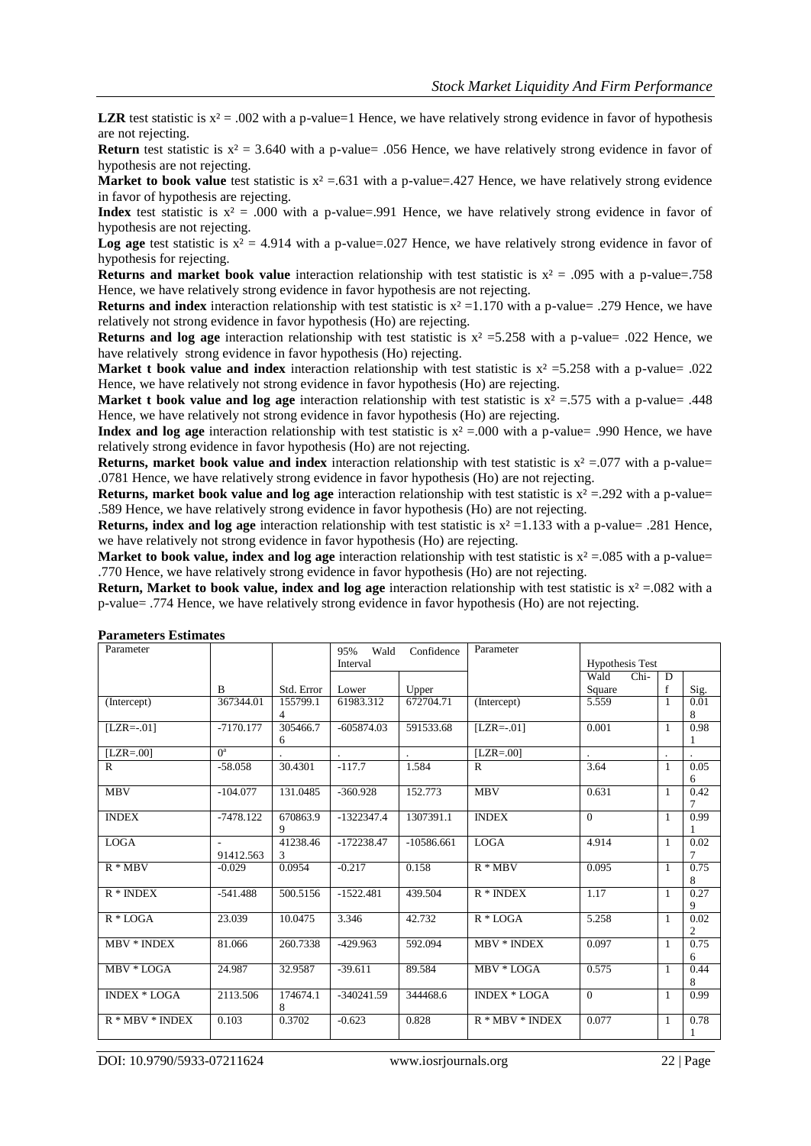**LZR** test statistic is  $x^2 = .002$  with a p-value=1 Hence, we have relatively strong evidence in favor of hypothesis are not rejecting.

**Return** test statistic is  $x^2 = 3.640$  with a p-value= .056 Hence, we have relatively strong evidence in favor of hypothesis are not rejecting.

**Market to book value** test statistic is  $x^2 = .631$  with a p-value=.427 Hence, we have relatively strong evidence in favor of hypothesis are rejecting.

**Index** test statistic is  $x^2 = .000$  with a p-value=.991 Hence, we have relatively strong evidence in favor of hypothesis are not rejecting.

**Log age** test statistic is  $x^2 = 4.914$  with a p-value=.027 Hence, we have relatively strong evidence in favor of hypothesis for rejecting.

**Returns and market book value** interaction relationship with test statistic is  $x^2 = .095$  with a p-value=.758 Hence, we have relatively strong evidence in favor hypothesis are not rejecting.

**Returns and index** interaction relationship with test statistic is  $x^2 = 1.170$  with a p-value= .279 Hence, we have relatively not strong evidence in favor hypothesis (Ho) are rejecting.

**Returns and log age** interaction relationship with test statistic is  $x^2 = 5.258$  with a p-value= .022 Hence, we have relatively strong evidence in favor hypothesis (Ho) rejecting.

**Market t book value and index** interaction relationship with test statistic is  $x^2 = 5.258$  with a p-value= .022 Hence, we have relatively not strong evidence in favor hypothesis (Ho) are rejecting.

**Market t book value and log age** interaction relationship with test statistic is  $x^2 = 0.575$  with a p-value = .448 Hence, we have relatively not strong evidence in favor hypothesis (Ho) are rejecting.

**Index and log age** interaction relationship with test statistic is  $x^2 = 0.00$  with a p-value= .990 Hence, we have relatively strong evidence in favor hypothesis (Ho) are not rejecting.

**Returns, market book value and index** interaction relationship with test statistic is  $x^2 = .077$  with a p-value= .0781 Hence, we have relatively strong evidence in favor hypothesis (Ho) are not rejecting.

**Returns, market book value and log age** interaction relationship with test statistic is  $x^2 = .292$  with a p-value= .589 Hence, we have relatively strong evidence in favor hypothesis (Ho) are not rejecting.

**Returns, index and log age** interaction relationship with test statistic is  $x^2 = 1.133$  with a p-value= .281 Hence, we have relatively not strong evidence in favor hypothesis (Ho) are rejecting.

**Market to book value, index and log age** interaction relationship with test statistic is  $x^2 = .085$  with a p-value= .770 Hence, we have relatively strong evidence in favor hypothesis (Ho) are not rejecting.

**Return, Market to book value, index and log age** interaction relationship with test statistic is  $x^2 = 0.082$  with a p-value= .774 Hence, we have relatively strong evidence in favor hypothesis (Ho) are not rejecting.

| і аганісісі з Езиніацэ |                       |               |              |              |                     |                        |              |                        |
|------------------------|-----------------------|---------------|--------------|--------------|---------------------|------------------------|--------------|------------------------|
| Parameter              |                       |               | 95%<br>Wald  | Confidence   | Parameter           |                        |              |                        |
|                        |                       |               | Interval     |              |                     | <b>Hypothesis Test</b> |              |                        |
|                        |                       |               |              |              |                     | Wald<br>Chi-           | D            |                        |
|                        | $\mathbf{B}$          | Std. Error    | Lower        | Upper        |                     | Square                 | f            | Sig.                   |
| (Intercept)            | 367344.01             | 155799.1<br>4 | 61983.312    | 672704.71    | (Intercept)         | 5.559                  | 1            | 0.01<br>8              |
| $[LZR=.01]$            | $-7170.177$           | 305466.7<br>6 | $-605874.03$ | 591533.68    | $[LZR=.01]$         | 0.001                  | 1            | 0.98<br>1              |
| $[LZR=.00]$            | $\Omega$ <sup>a</sup> |               |              |              | $[LZR=.00]$         |                        |              |                        |
| $\mathbb{R}$           | $-58.058$             | 30.4301       | $-117.7$     | 1.584        | $\mathbb{R}$        | 3.64                   | 1            | 0.05<br>6              |
| <b>MBV</b>             | $-104.077$            | 131.0485      | $-360.928$   | 152.773      | <b>MBV</b>          | 0.631                  | $\mathbf{1}$ | 0.42<br>7              |
| <b>INDEX</b>           | $-7478.122$           | 670863.9<br>9 | $-1322347.4$ | 1307391.1    | <b>INDEX</b>        | $\Omega$               | 1            | 0.99<br>1              |
| <b>LOGA</b>            | ÷.<br>91412.563       | 41238.46<br>3 | $-172238.47$ | $-10586.661$ | <b>LOGA</b>         | 4.914                  | 1            | 0.02<br>7              |
| $R * MBV$              | $-0.029$              | 0.0954        | $-0.217$     | 0.158        | $R * MBV$           | 0.095                  | $\mathbf{1}$ | 0.75<br>8              |
| $R * INDEX$            | $-541.488$            | 500.5156      | $-1522.481$  | 439.504      | $R * INDEX$         | 1.17                   | 1            | 0.27<br>9              |
| $R * LOGA$             | 23.039                | 10.0475       | 3.346        | 42.732       | $R * LOGA$          | 5.258                  | 1            | 0.02<br>$\overline{c}$ |
| <b>MBV * INDEX</b>     | 81.066                | 260.7338      | $-429.963$   | 592.094      | <b>MBV * INDEX</b>  | 0.097                  | 1            | 0.75<br>6              |
| MBV * LOGA             | 24.987                | 32.9587       | $-39.611$    | 89.584       | MBV * LOGA          | 0.575                  | 1            | 0.44<br>8              |
| <b>INDEX * LOGA</b>    | 2113.506              | 174674.1<br>8 | $-340241.59$ | 344468.6     | <b>INDEX * LOGA</b> | $\Omega$               | 1            | 0.99                   |
| $R * MBV * INDEX$      | 0.103                 | 0.3702        | $-0.623$     | 0.828        | $R * MBV * INDEX$   | 0.077                  | 1            | 0.78<br>1              |

**Parameters Estimates**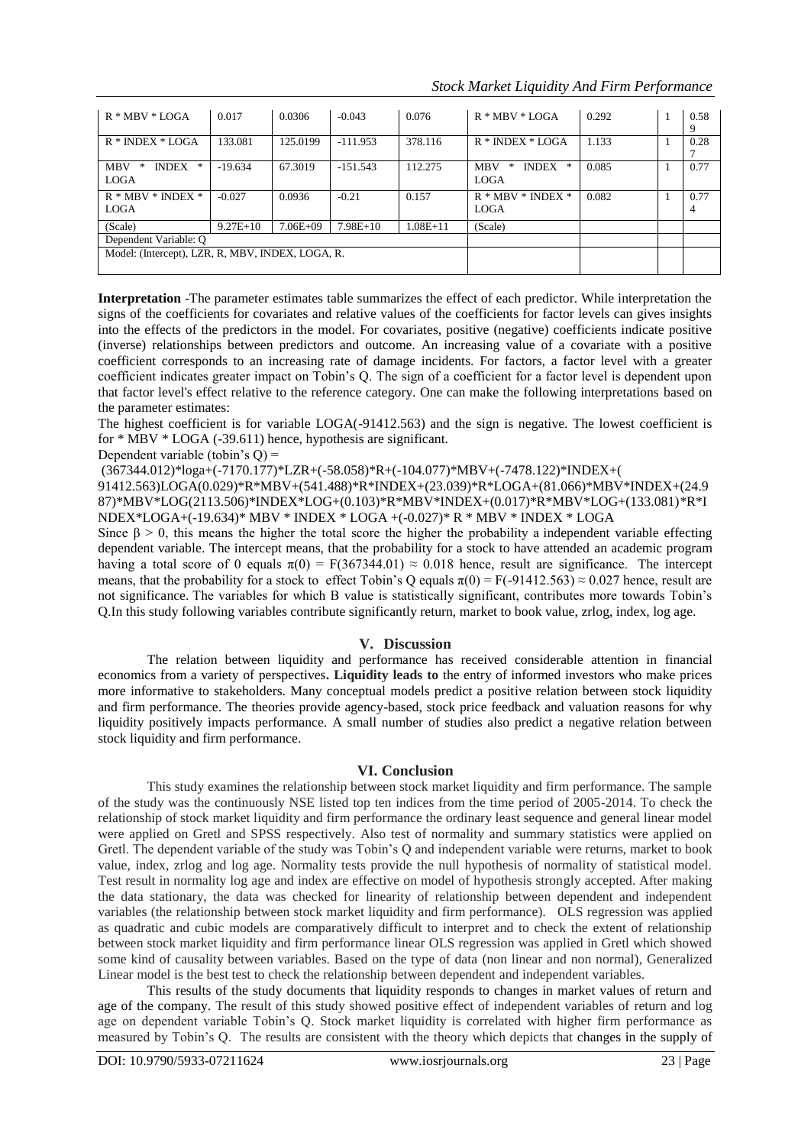*Stock Market Liquidity And Firm Performance*

| $R * MBV * LOGA$                                 | 0.017      | 0.0306       | $-0.043$   | 0.076        | $R * MBV * LOGA$                     | 0.292 | 0.58      |
|--------------------------------------------------|------------|--------------|------------|--------------|--------------------------------------|-------|-----------|
| $R * INDEX * LOGA$                               | 133.081    | 125.0199     | $-111.953$ | 378.116      | $R * INDEX * LOGA$                   | 1.133 | 9<br>0.28 |
|                                                  |            |              |            |              |                                      |       |           |
| *<br><b>MBV</b><br>*<br><b>INDEX</b>             | $-19.634$  | 67.3019      | $-151.543$ | 112.275      | <b>INDEX</b><br><b>MBV</b><br>∗<br>* | 0.085 | 0.77      |
| <b>LOGA</b>                                      |            |              |            |              | <b>LOGA</b>                          |       |           |
| $R * MBV * INDEX *$                              | $-0.027$   | 0.0936       | $-0.21$    | 0.157        | $R * MBV * INDEX *$                  | 0.082 | 0.77      |
| <b>LOGA</b>                                      |            |              |            |              | <b>LOGA</b>                          |       | 4         |
| (Scale)                                          | $9.27E+10$ | $7.06E + 09$ | $7.98E+10$ | $1.08E + 11$ | (Scale)                              |       |           |
| Dependent Variable: O                            |            |              |            |              |                                      |       |           |
| Model: (Intercept), LZR, R, MBV, INDEX, LOGA, R. |            |              |            |              |                                      |       |           |
|                                                  |            |              |            |              |                                      |       |           |

**Interpretation** -The parameter estimates table summarizes the effect of each predictor. While interpretation the signs of the coefficients for covariates and relative values of the coefficients for factor levels can gives insights into the effects of the predictors in the model. For covariates, positive (negative) coefficients indicate positive (inverse) relationships between predictors and outcome. An increasing value of a covariate with a positive coefficient corresponds to an increasing rate of damage incidents. For factors, a factor level with a greater coefficient indicates greater impact on Tobin's Q. The sign of a coefficient for a factor level is dependent upon that factor level's effect relative to the reference category. One can make the following interpretations based on the parameter estimates:

The highest coefficient is for variable LOGA(-91412.563) and the sign is negative. The lowest coefficient is for \* MBV \* LOGA (-39.611) hence, hypothesis are significant.

Dependent variable (tobin's  $Q$ ) =

(367344.012)\*loga+(-7170.177)\*LZR+(-58.058)\*R+(-104.077)\*MBV+(-7478.122)\*INDEX+(

91412.563)LOGA(0.029)\*R\*MBV+(541.488)\*R\*INDEX+(23.039)\*R\*LOGA+(81.066)\*MBV\*INDEX+(24.9 87)\*MBV\*LOG(2113.506)\*INDEX\*LOG+(0.103)\*R\*MBV\*INDEX+(0.017)\*R\*MBV\*LOG+(133.081)\*R\*I NDEX\*LOGA+(-19.634)\* MBV \* INDEX \* LOGA +(-0.027)\* R \* MBV \* INDEX \* LOGA

Since  $\beta > 0$ , this means the higher the total score the higher the probability a independent variable effecting dependent variable. The intercept means, that the probability for a stock to have attended an academic program having a total score of 0 equals  $\pi(0) = F(367344.01) \approx 0.018$  hence, result are significance. The intercept means, that the probability for a stock to effect Tobin's Q equals  $\pi(0) = F(-91412.563) \approx 0.027$  hence, result are not significance. The variables for which B value is statistically significant, contributes more towards Tobin's Q.In this study following variables contribute significantly return, market to book value, zrlog, index, log age.

# **V. Discussion**

The relation between liquidity and performance has received considerable attention in financial economics from a variety of perspectives**. Liquidity leads to** the entry of informed investors who make prices more informative to stakeholders. Many conceptual models predict a positive relation between stock liquidity and firm performance. The theories provide agency-based, stock price feedback and valuation reasons for why liquidity positively impacts performance. A small number of studies also predict a negative relation between stock liquidity and firm performance.

# **VI. Conclusion**

This study examines the relationship between stock market liquidity and firm performance. The sample of the study was the continuously NSE listed top ten indices from the time period of 2005-2014. To check the relationship of stock market liquidity and firm performance the ordinary least sequence and general linear model were applied on Gretl and SPSS respectively. Also test of normality and summary statistics were applied on Gretl. The dependent variable of the study was Tobin's Q and independent variable were returns, market to book value, index, zrlog and log age. Normality tests provide the null hypothesis of normality of statistical model. Test result in normality log age and index are effective on model of hypothesis strongly accepted. After making the data stationary, the data was checked for linearity of relationship between dependent and independent variables (the relationship between stock market liquidity and firm performance). OLS regression was applied as quadratic and cubic models are comparatively difficult to interpret and to check the extent of relationship between stock market liquidity and firm performance linear OLS regression was applied in Gretl which showed some kind of causality between variables. Based on the type of data (non linear and non normal), Generalized Linear model is the best test to check the relationship between dependent and independent variables.

This results of the study documents that liquidity responds to changes in market values of return and age of the company. The result of this study showed positive effect of independent variables of return and log age on dependent variable Tobin's Q. Stock market liquidity is correlated with higher firm performance as measured by Tobin's Q. The results are consistent with the theory which depicts that changes in the supply of